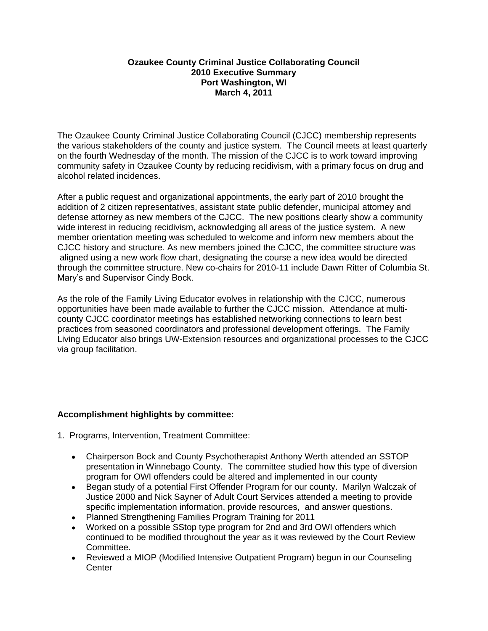## **Ozaukee County Criminal Justice Collaborating Council 2010 Executive Summary Port Washington, WI March 4, 2011**

The Ozaukee County Criminal Justice Collaborating Council (CJCC) membership represents the various stakeholders of the county and justice system. The Council meets at least quarterly on the fourth Wednesday of the month. The mission of the CJCC is to work toward improving community safety in Ozaukee County by reducing recidivism, with a primary focus on drug and alcohol related incidences.

After a public request and organizational appointments, the early part of 2010 brought the addition of 2 citizen representatives, assistant state public defender, municipal attorney and defense attorney as new members of the CJCC. The new positions clearly show a community wide interest in reducing recidivism, acknowledging all areas of the justice system. A new member orientation meeting was scheduled to welcome and inform new members about the CJCC history and structure. As new members joined the CJCC, the committee structure was aligned using a new work flow chart, designating the course a new idea would be directed through the committee structure. New co-chairs for 2010-11 include Dawn Ritter of Columbia St. Mary's and Supervisor Cindy Bock.

As the role of the Family Living Educator evolves in relationship with the CJCC, numerous opportunities have been made available to further the CJCC mission. Attendance at multicounty CJCC coordinator meetings has established networking connections to learn best practices from seasoned coordinators and professional development offerings. The Family Living Educator also brings UW-Extension resources and organizational processes to the CJCC via group facilitation.

## **Accomplishment highlights by committee:**

- 1. Programs, Intervention, Treatment Committee:
	- Chairperson Bock and County Psychotherapist Anthony Werth attended an SSTOP presentation in Winnebago County. The committee studied how this type of diversion program for OWI offenders could be altered and implemented in our county
	- Began study of a potential First Offender Program for our county. Marilyn Walczak of Justice 2000 and Nick Sayner of Adult Court Services attended a meeting to provide specific implementation information, provide resources, and answer questions.
	- Planned Strengthening Families Program Training for 2011
	- Worked on a possible SStop type program for 2nd and 3rd OWI offenders which continued to be modified throughout the year as it was reviewed by the Court Review Committee.
	- Reviewed a MIOP (Modified Intensive Outpatient Program) begun in our Counseling **Center**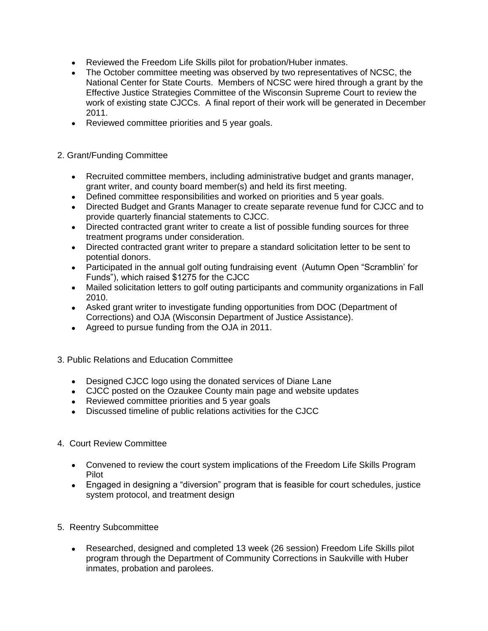- Reviewed the Freedom Life Skills pilot for probation/Huber inmates.
- The October committee meeting was observed by two representatives of NCSC, the National Center for State Courts. Members of NCSC were hired through a grant by the Effective Justice Strategies Committee of the Wisconsin Supreme Court to review the work of existing state CJCCs. A final report of their work will be generated in December 2011.
- Reviewed committee priorities and 5 year goals.

## 2. Grant/Funding Committee

- Recruited committee members, including administrative budget and grants manager, grant writer, and county board member(s) and held its first meeting.
- Defined committee responsibilities and worked on priorities and 5 year goals.
- Directed Budget and Grants Manager to create separate revenue fund for CJCC and to provide quarterly financial statements to CJCC.
- Directed contracted grant writer to create a list of possible funding sources for three treatment programs under consideration.
- Directed contracted grant writer to prepare a standard solicitation letter to be sent to potential donors.
- Participated in the annual golf outing fundraising event (Autumn Open "Scramblin' for Funds"), which raised \$1275 for the CJCC
- Mailed solicitation letters to golf outing participants and community organizations in Fall 2010.
- Asked grant writer to investigate funding opportunities from DOC (Department of Corrections) and OJA (Wisconsin Department of Justice Assistance).
- Agreed to pursue funding from the OJA in 2011.

## 3. Public Relations and Education Committee

- Designed CJCC logo using the donated services of Diane Lane
- CJCC posted on the Ozaukee County main page and website updates
- Reviewed committee priorities and 5 year goals
- Discussed timeline of public relations activities for the CJCC
- 4. Court Review Committee
	- Convened to review the court system implications of the Freedom Life Skills Program Pilot
	- Engaged in designing a "diversion" program that is feasible for court schedules, justice system protocol, and treatment design
- 5. Reentry Subcommittee
	- Researched, designed and completed 13 week (26 session) Freedom Life Skills pilot program through the Department of Community Corrections in Saukville with Huber inmates, probation and parolees.